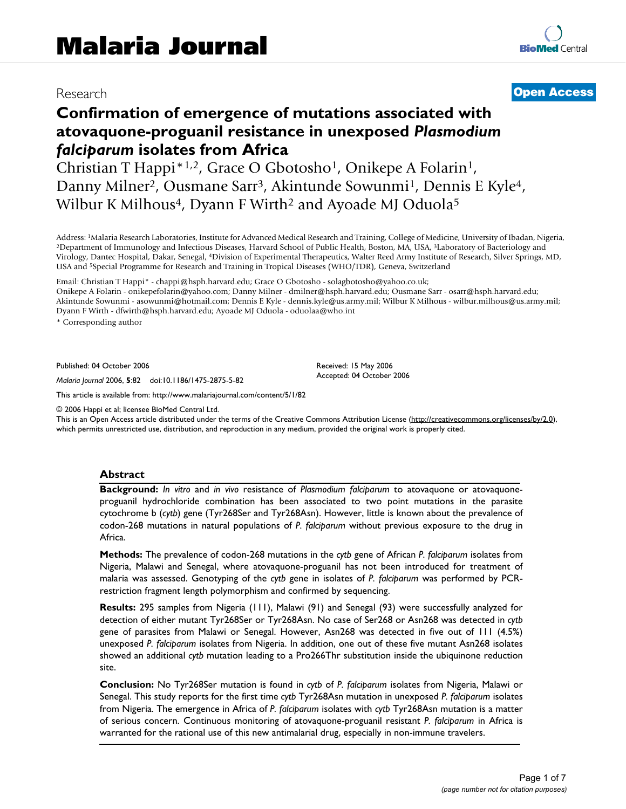# Research **[Open Access](http://www.biomedcentral.com/info/about/charter/)**

# **Confirmation of emergence of mutations associated with atovaquone-proguanil resistance in unexposed** *Plasmodium falciparum* **isolates from Africa**

Christian T Happi\*1,2, Grace O Gbotosho1, Onikepe A Folarin1, Danny Milner<sup>2</sup>, Ousmane Sarr<sup>3</sup>, Akintunde Sowunmi<sup>1</sup>, Dennis E Kyle<sup>4</sup>, Wilbur K Milhous<sup>4</sup>, Dyann F Wirth<sup>2</sup> and Ayoade MJ Oduola<sup>5</sup>

Address: <sup>1</sup>Malaria Research Laboratories, Institute for Advanced Medical Research and Training, College of Medicine, University of Ibadan, Nigeria, <sup>2</sup>Department of Immunology and Infectious Diseases, Harvard School of Pu Virology, Dantec Hospital, Dakar, Senegal, 4Division of Experimental Therapeutics, Walter Reed Army Institute of Research, Silver Springs, MD, USA and 5Special Programme for Research and Training in Tropical Diseases (WHO/TDR), Geneva, Switzerland

Email: Christian T Happi\* - chappi@hsph.harvard.edu; Grace O Gbotosho - solagbotosho@yahoo.co.uk;

Onikepe A Folarin - onikepefolarin@yahoo.com; Danny Milner - dmilner@hsph.harvard.edu; Ousmane Sarr - osarr@hsph.harvard.edu; Akintunde Sowunmi - asowunmi@hotmail.com; Dennis E Kyle - dennis.kyle@us.army.mil; Wilbur K Milhous - wilbur.milhous@us.army.mil; Dyann F Wirth - dfwirth@hsph.harvard.edu; Ayoade MJ Oduola - oduolaa@who.int

> Received: 15 May 2006 Accepted: 04 October 2006

\* Corresponding author

Published: 04 October 2006

*Malaria Journal* 2006, **5**:82 doi:10.1186/1475-2875-5-82

[This article is available from: http://www.malariajournal.com/content/5/1/82](http://www.malariajournal.com/content/5/1/82)

© 2006 Happi et al; licensee BioMed Central Ltd.

This is an Open Access article distributed under the terms of the Creative Commons Attribution License [\(http://creativecommons.org/licenses/by/2.0\)](http://creativecommons.org/licenses/by/2.0), which permits unrestricted use, distribution, and reproduction in any medium, provided the original work is properly cited.

#### **Abstract**

**Background:** *In vitro* and *in vivo* resistance of *Plasmodium falciparum* to atovaquone or atovaquoneproguanil hydrochloride combination has been associated to two point mutations in the parasite cytochrome b (*cytb*) gene (Tyr268Ser and Tyr268Asn). However, little is known about the prevalence of codon-268 mutations in natural populations of *P. falciparum* without previous exposure to the drug in Africa.

**Methods:** The prevalence of codon-268 mutations in the *cytb* gene of African *P. falciparum* isolates from Nigeria, Malawi and Senegal, where atovaquone-proguanil has not been introduced for treatment of malaria was assessed. Genotyping of the *cytb* gene in isolates of *P. falciparum* was performed by PCRrestriction fragment length polymorphism and confirmed by sequencing.

**Results:** 295 samples from Nigeria (111), Malawi (91) and Senegal (93) were successfully analyzed for detection of either mutant Tyr268Ser or Tyr268Asn. No case of Ser268 or Asn268 was detected in *cytb* gene of parasites from Malawi or Senegal. However, Asn268 was detected in five out of 111 (4.5%) unexposed *P. falciparum* isolates from Nigeria. In addition, one out of these five mutant Asn268 isolates showed an additional *cytb* mutation leading to a Pro266Thr substitution inside the ubiquinone reduction site.

**Conclusion:** No Tyr268Ser mutation is found in *cytb* of *P. falciparum* isolates from Nigeria, Malawi or Senegal. This study reports for the first time *cytb* Tyr268Asn mutation in unexposed *P. falciparum* isolates from Nigeria. The emergence in Africa of *P. falciparum* isolates with *cytb* Tyr268Asn mutation is a matter of serious concern. Continuous monitoring of atovaquone-proguanil resistant *P. falciparum* in Africa is warranted for the rational use of this new antimalarial drug, especially in non-immune travelers.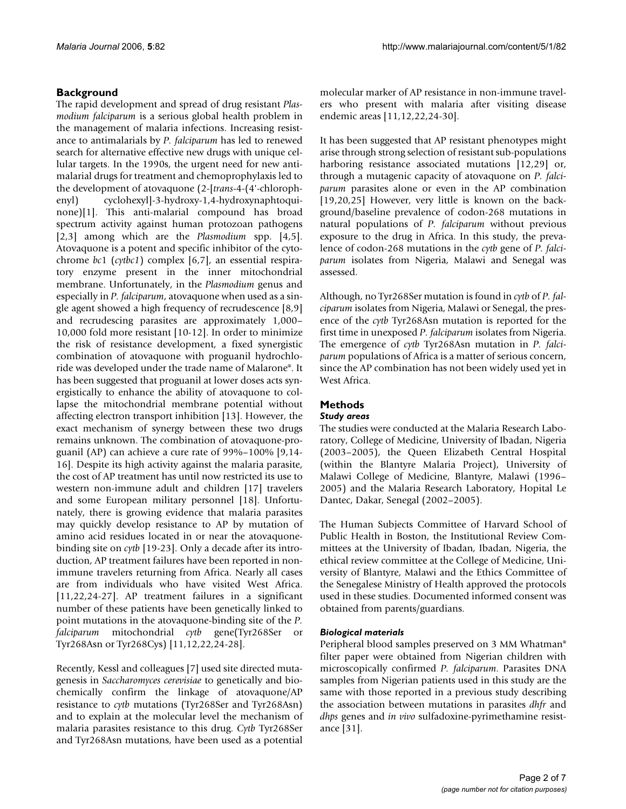## **Background**

The rapid development and spread of drug resistant *Plasmodium falciparum* is a serious global health problem in the management of malaria infections. Increasing resistance to antimalarials by *P. falciparum* has led to renewed search for alternative effective new drugs with unique cellular targets. In the 1990s, the urgent need for new antimalarial drugs for treatment and chemoprophylaxis led to the development of atovaquone (2-[*trans*-4-(4'-chlorophenyl) cyclohexyl]-3-hydroxy-1,4-hydroxynaphtoquinone)[1]. This anti-malarial compound has broad spectrum activity against human protozoan pathogens [2,3] among which are the *Plasmodium* spp. [4,5]. Atovaquone is a potent and specific inhibitor of the cytochrome *bc*1 (*cytbc1*) complex [6,7], an essential respiratory enzyme present in the inner mitochondrial membrane. Unfortunately, in the *Plasmodium* genus and especially in *P. falciparum*, atovaquone when used as a single agent showed a high frequency of recrudescence [\[8,](#page-6-0)9] and recrudescing parasites are approximately 1,000– 10,000 fold more resistant [10-12]. In order to minimize the risk of resistance development, a fixed synergistic combination of atovaquone with proguanil hydrochloride was developed under the trade name of Malarone®. It has been suggested that proguanil at lower doses acts synergistically to enhance the ability of atovaquone to collapse the mitochondrial membrane potential without affecting electron transport inhibition [13]. However, the exact mechanism of synergy between these two drugs remains unknown. The combination of atovaquone-proguanil (AP) can achieve a cure rate of 99%–100% [9,14- 16]. Despite its high activity against the malaria parasite, the cost of AP treatment has until now restricted its use to western non-immune adult and children [17] travelers and some European military personnel [18]. Unfortunately, there is growing evidence that malaria parasites may quickly develop resistance to AP by mutation of amino acid residues located in or near the atovaquonebinding site on *cytb* [19-23]. Only a decade after its introduction, AP treatment failures have been reported in nonimmune travelers returning from Africa. Nearly all cases are from individuals who have visited West Africa. [11,22,24[-27\]](#page-6-1). AP treatment failures in a significant number of these patients have been genetically linked to point mutations in the atovaquone-binding site of the *P. falciparum* mitochondrial *cytb* gene(Tyr268Ser Tyr268Asn or Tyr268Cys) [11,12,22,24-28].

Recently, Kessl and colleagues [7] used site directed mutagenesis in *Saccharomyces cerevisiae* to genetically and biochemically confirm the linkage of atovaquone/AP resistance to *cytb* mutations (Tyr268Ser and Tyr268Asn) and to explain at the molecular level the mechanism of malaria parasites resistance to this drug. *Cytb* Tyr268Ser and Tyr268Asn mutations, have been used as a potential

molecular marker of AP resistance in non-immune travelers who present with malaria after visiting disease endemic areas [11,12,22,24-30].

It has been suggested that AP resistant phenotypes might arise through strong selection of resistant sub-populations harboring resistance associated mutations [12,29] or, through a mutagenic capacity of atovaquone on *P. falciparum* parasites alone or even in the AP combination [19,20,25] However, very little is known on the background/baseline prevalence of codon-268 mutations in natural populations of *P. falciparum* without previous exposure to the drug in Africa. In this study, the prevalence of codon-268 mutations in the *cytb* gene of *P. falciparum* isolates from Nigeria, Malawi and Senegal was assessed.

Although, no Tyr268Ser mutation is found in *cytb* of *P. falciparum* isolates from Nigeria, Malawi or Senegal, the presence of the *cytb* Tyr268Asn mutation is reported for the first time in unexposed *P. falciparum* isolates from Nigeria. The emergence of *cytb* Tyr268Asn mutation in *P. falciparum* populations of Africa is a matter of serious concern, since the AP combination has not been widely used yet in West Africa.

# **Methods**

#### *Study areas*

The studies were conducted at the Malaria Research Laboratory, College of Medicine, University of Ibadan, Nigeria (2003–2005), the Queen Elizabeth Central Hospital (within the Blantyre Malaria Project), University of Malawi College of Medicine, Blantyre, Malawi (1996– 2005) and the Malaria Research Laboratory, Hopital Le Dantec, Dakar, Senegal (2002–2005).

The Human Subjects Committee of Harvard School of Public Health in Boston, the Institutional Review Committees at the University of Ibadan, Ibadan, Nigeria, the ethical review committee at the College of Medicine, University of Blantyre, Malawi and the Ethics Committee of the Senegalese Ministry of Health approved the protocols used in these studies. Documented informed consent was obtained from parents/guardians.

#### *Biological materials*

Peripheral blood samples preserved on 3 MM Whatman® filter paper were obtained from Nigerian children with microscopically confirmed *P. falciparum*. Parasites DNA samples from Nigerian patients used in this study are the same with those reported in a previous study describing the association between mutations in parasites *dhfr* and *dhps* genes and *in vivo* sulfadoxine-pyrimethamine resistance [31].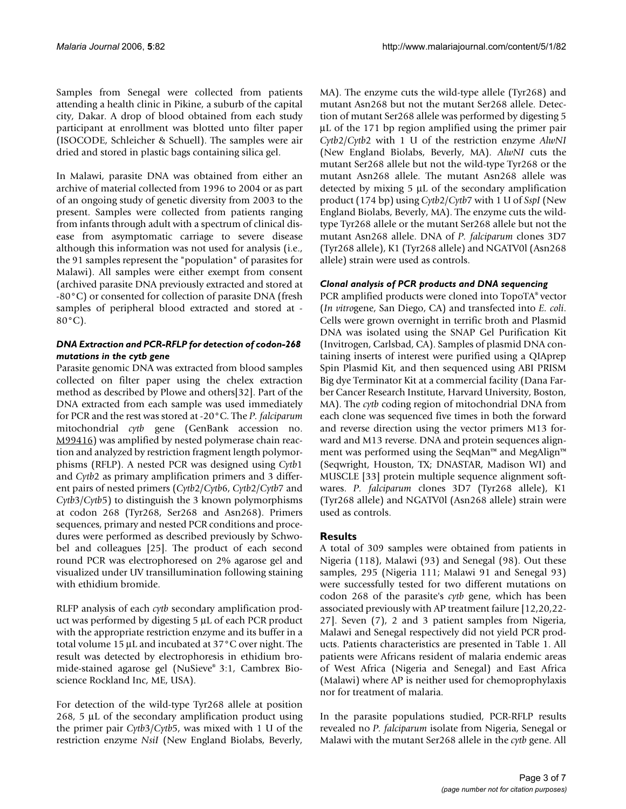Samples from Senegal were collected from patients attending a health clinic in Pikine, a suburb of the capital city, Dakar. A drop of blood obtained from each study participant at enrollment was blotted unto filter paper (ISOCODE, Schleicher & Schuell). The samples were air dried and stored in plastic bags containing silica gel.

In Malawi, parasite DNA was obtained from either an archive of material collected from 1996 to 2004 or as part of an ongoing study of genetic diversity from 2003 to the present. Samples were collected from patients ranging from infants through adult with a spectrum of clinical disease from asymptomatic carriage to severe disease although this information was not used for analysis (i.e., the 91 samples represent the "population" of parasites for Malawi). All samples were either exempt from consent (archived parasite DNA previously extracted and stored at -80°C) or consented for collection of parasite DNA (fresh samples of peripheral blood extracted and stored at - 80°C).

#### *DNA Extraction and PCR-RFLP for detection of codon-268 mutations in the cytb gene*

Parasite genomic DNA was extracted from blood samples collected on filter paper using the chelex extraction method as described by Plowe and others[\[32](#page-6-2)]. Part of the DNA extracted from each sample was used immediately for PCR and the rest was stored at -20°C. The *P. falciparum* mitochondrial *cytb* gene (GenBank accession no. [M99416\)](http://www.ncbi.nih.gov/entrez/query.fcgi?db=Nucleotide&cmd=search&term=M99416) was amplified by nested polymerase chain reaction and analyzed by restriction fragment length polymorphisms (RFLP). A nested PCR was designed using *Cytb*1 and *Cytb*2 as primary amplification primers and 3 different pairs of nested primers (*Cytb*2/*Cytb*6, *Cytb*2/*Cytb*7 and *Cytb*3/*Cytb*5) to distinguish the 3 known polymorphisms at codon 268 (Tyr268, Ser268 and Asn268). Primers sequences, primary and nested PCR conditions and procedures were performed as described previously by Schwobel and colleagues [25]. The product of each second round PCR was electrophoresed on 2% agarose gel and visualized under UV transillumination following staining with ethidium bromide.

RLFP analysis of each *cytb* secondary amplification product was performed by digesting 5 μL of each PCR product with the appropriate restriction enzyme and its buffer in a total volume 15 μL and incubated at 37°C over night. The result was detected by electrophoresis in ethidium bromide-stained agarose gel (NuSieve® 3:1, Cambrex Bioscience Rockland Inc, ME, USA).

For detection of the wild-type Tyr268 allele at position 268, 5 μL of the secondary amplification product using the primer pair *Cytb*3/*Cytb*5, was mixed with 1 U of the restriction enzyme *NsiI* (New England Biolabs, Beverly,

MA). The enzyme cuts the wild-type allele (Tyr268) and mutant Asn268 but not the mutant Ser268 allele. Detection of mutant Ser268 allele was performed by digesting 5 μL of the 171 bp region amplified using the primer pair *Cytb*2/*Cytb*2 with 1 U of the restriction enzyme *AlwNI* (New England Biolabs, Beverly, MA). *AlwNI* cuts the mutant Ser268 allele but not the wild-type Tyr268 or the mutant Asn268 allele. The mutant Asn268 allele was detected by mixing 5 μL of the secondary amplification product (174 bp) using *Cytb*2/*Cytb*7 with 1 U of *SspI* (New England Biolabs, Beverly, MA). The enzyme cuts the wildtype Tyr268 allele or the mutant Ser268 allele but not the mutant Asn268 allele. DNA of *P. falciparum* clones 3D7 (Tyr268 allele), K1 (Tyr268 allele) and NGATV0l (Asn268 allele) strain were used as controls.

## *Clonal analysis of PCR products and DNA sequencing*

PCR amplified products were cloned into TopoTA® vector (*In vitro*gene, San Diego, CA) and transfected into *E. coli*. Cells were grown overnight in terrific broth and Plasmid DNA was isolated using the SNAP Gel Purification Kit (Invitrogen, Carlsbad, CA). Samples of plasmid DNA containing inserts of interest were purified using a QIAprep Spin Plasmid Kit, and then sequenced using ABI PRISM Big dye Terminator Kit at a commercial facility (Dana Farber Cancer Research Institute, Harvard University, Boston, MA). The *cytb* coding region of mitochondrial DNA from each clone was sequenced five times in both the forward and reverse direction using the vector primers M13 forward and M13 reverse. DNA and protein sequences alignment was performed using the SeqMan™ and MegAlign™ (Seqwright, Houston, TX; DNASTAR, Madison WI) and MUSCLE [33] protein multiple sequence alignment softwares. *P. falciparum* clones 3D7 (Tyr268 allele), K1 (Tyr268 allele) and NGATV0l (Asn268 allele) strain were used as controls.

#### **Results**

A total of 309 samples were obtained from patients in Nigeria (118), Malawi (93) and Senegal (98). Out these samples, 295 (Nigeria 111; Malawi 91 and Senegal 93) were successfully tested for two different mutations on codon 268 of the parasite's *cytb* gene, which has been associated previously with AP treatment failure [12,20,22- [27\]](#page-6-1). Seven (7), 2 and 3 patient samples from Nigeria, Malawi and Senegal respectively did not yield PCR products. Patients characteristics are presented in Table 1. All patients were Africans resident of malaria endemic areas of West Africa (Nigeria and Senegal) and East Africa (Malawi) where AP is neither used for chemoprophylaxis nor for treatment of malaria.

In the parasite populations studied, PCR-RFLP results revealed no *P. falciparum* isolate from Nigeria, Senegal or Malawi with the mutant Ser268 allele in the *cytb* gene. All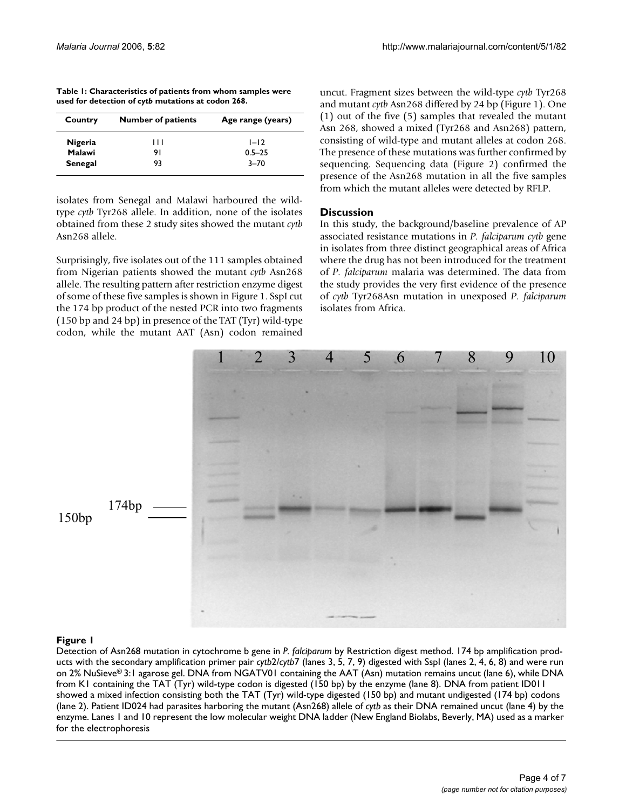| Table 1: Characteristics of patients from whom samples were |
|-------------------------------------------------------------|
| used for detection of cytb mutations at codon 268.          |

| Country | <b>Number of patients</b> | Age range (years) |
|---------|---------------------------|-------------------|
| Nigeria | ,,,                       | $1 - 12$          |
| Malawi  | 91                        | $0.5 - 25$        |
| Senegal | 93                        | $3 - 70$          |

isolates from Senegal and Malawi harboured the wildtype *cytb* Tyr268 allele. In addition, none of the isolates obtained from these 2 study sites showed the mutant *cytb* Asn268 allele.

Surprisingly, five isolates out of the 111 samples obtained from Nigerian patients showed the mutant *cytb* Asn268 allele. The resulting pattern after restriction enzyme digest of some of these five samples is shown in Figure 1. SspI cut the 174 bp product of the nested PCR into two fragments (150 bp and 24 bp) in presence of the TAT (Tyr) wild-type codon, while the mutant AAT (Asn) codon remained

uncut. Fragment sizes between the wild-type *cytb* Tyr268 and mutant *cytb* Asn268 differed by 24 bp (Figure 1). One (1) out of the five (5) samples that revealed the mutant Asn 268, showed a mixed (Tyr268 and Asn268) pattern, consisting of wild-type and mutant alleles at codon 268. The presence of these mutations was further confirmed by sequencing. Sequencing data (Figure 2) confirmed the presence of the Asn268 mutation in all the five samples from which the mutant alleles were detected by RFLP.

## **Discussion**

In this study, the background/baseline prevalence of AP associated resistance mutations in *P. falciparum cytb* gene in isolates from three distinct geographical areas of Africa where the drug has not been introduced for the treatment of *P. falciparum* malaria was determined. The data from the study provides the very first evidence of the presence of *cytb* Tyr268Asn mutation in unexposed *P. falciparum* isolates from Africa.



## Detection of Asn268 mutation **Figure 1** in cytochrome b gene in *P. falciparum* by Restriction digest method

Detection of Asn268 mutation in cytochrome b gene in *P. falciparum* by Restriction digest method. 174 bp amplification products with the secondary amplification primer pair *cytb*2/*cytb*7 (lanes 3, 5, 7, 9) digested with SspI (lanes 2, 4, 6, 8) and were run on 2% NuSieve® 3:1 agarose gel. DNA from NGATV01 containing the AAT (Asn) mutation remains uncut (lane 6), while DNA from K1 containing the TAT (Tyr) wild-type codon is digested (150 bp) by the enzyme (lane 8). DNA from patient ID011 showed a mixed infection consisting both the TAT (Tyr) wild-type digested (150 bp) and mutant undigested (174 bp) codons (lane 2). Patient ID024 had parasites harboring the mutant (Asn268) allele of *cytb* as their DNA remained uncut (lane 4) by the enzyme. Lanes 1 and 10 represent the low molecular weight DNA ladder (New England Biolabs, Beverly, MA) used as a marker for the electrophoresis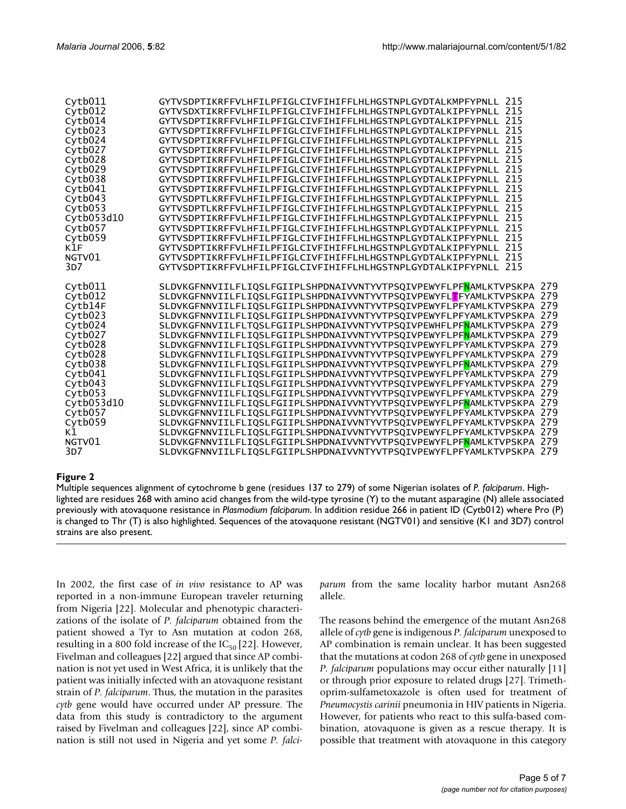| cytb011       | GYTVSDPTIKRFFVLHFILPFIGLCIVFIHIFFLHLHGSTNPLGYDTALKMPFYPNLL<br>215                                                                                           |
|---------------|-------------------------------------------------------------------------------------------------------------------------------------------------------------|
| Cytb012       | GYTVSDXTIKRFFVLHFILPFIGLCIVFIHIFFLHLHGSTNPLGYDTALKIPFYPNLL 215                                                                                              |
| Cytb014       | GYTVSDPTIKRFFVLHFILPFIGLCIVFIHIFFLHLHGSTNPLGYDTALKIPFYPNLL 215                                                                                              |
| Cytb023       | 215<br>GYTVSDPTIKRFFVLHFILPFIGLCIVFIHIFFLHLHGSTNPLGYDTALKIPFYPNLL                                                                                           |
| Cytb024       | 215<br>GYTVSDPTIKRFFVLHFILPFIGLCIVFIHIFFLHLHGSTNPLGYDTALKIPFYPNLL                                                                                           |
| Cytb027       | 215<br>GYTVSDPTIKRFFVLHFILPFIGLCIVFIHIFFLHLHGSTNPLGYDTALKIPFYPNLL                                                                                           |
| Cytb028       | 215<br>GYTVSDPTIKRFFVLHFILPFIGLCIVFIHIFFLHLHGSTNPLGYDTALKIPFYPNLL                                                                                           |
| Cytb029       | 215<br>GYTVSDPTIKRFFVLHFILPFIGLCIVFIHIFFLHLHGSTNPLGYDTALKIPFYPNLL                                                                                           |
| Cytb038       | 215<br>GYTVSDPTIKRFFVLHFILPFIGLCIVFIHIFFLHLHGSTNPLGYDTALKIPFYPNLL                                                                                           |
| Cytb041       | 215<br>GYTVSDPTIKRFFVLHFILPFIGLCIVFIHIFFLHLHGSTNPLGYDTALKIPFYPNLL                                                                                           |
| Cytb043       | 215<br>GYTVSDPTLKRFFVLHFILPFIGLCIVFIHIFFLHLHGSTNPLGYDTALKIPFYPNLL                                                                                           |
| Cytb053       | 215<br>GYTVSDPTLKRFFVLHFILPFIGLCIVFIHIFFLHLHGSTNPLGYDTALKIPFYPNLL                                                                                           |
| Cytb053d10    | 215<br>GYTVSDPTIKRFFVLHFILPFIGLCIVFIHIFFLHLHGSTNPLGYDTALKIPFYPNLL                                                                                           |
| Cytb057       | 215<br>GYTVSDPTIKRFFVLHFILPFIGLCIVFIHIFFLHLHGSTNPLGYDTALKIPFYPNLL                                                                                           |
| Cytb059       | 215<br>GYTVSDPTIKRFFVLHFILPFIGLCIVFIHIFFLHLHGSTNPLGYDTALKIPFYPNLL                                                                                           |
| K1F           | 215<br>GYTVSDPTIKRFFVLHFILPFIGLCIVFIHIFFLHLHGSTNPLGYDTALKIPFYPNLL                                                                                           |
| NGTV01        | 215<br>GYTVSDPTIKRFFVLHFILPFIGLCIVFIHIFFLHLHGSTNPLGYDTALKIPFYPNLL                                                                                           |
| 3D7           | GYTVSDPTIKRFFVLHFILPFIGLCIVFIHIFFLHLHGSTNPLGYDTALKIPFYPNLL 215                                                                                              |
|               |                                                                                                                                                             |
|               |                                                                                                                                                             |
| Cytb011       | SLDVKGFNNVIILFLIQSLFGIIPLSHPDNAIVVNTYVTPSQIVPEWYFLPF <mark>N</mark> AMLKTVPSKPA 279                                                                         |
| Cytb012       | SLDVKGFNNVIILFLIQSLFGIIPLSHPDNAIVVNTYVTPSQIVPEWYFL <mark>T</mark> FYAMLKTVPSKPA 279                                                                         |
| Cytb14F       | SLDVKGFNNVIILFLIQSLFGIIPLSHPDNAIVVNTYVTPSQIVPEWYFLPFYAMLKTVPSKPA 279                                                                                        |
| Cytb023       | SLDVKGFNNVIILFLIQSLFGIIPLSHPDNAIVVNTYVTPSQIVPEWYFLPFYAMLKTVPSKPA 279                                                                                        |
| Cytb024       | SLDVKGFNNVIILFLTQSLFGIIPLSHPDNAIVVNTYVTPSQIVPEWHFLPF <mark>N</mark> AMLKTVPSKPA 279                                                                         |
| Cytb027       | SLDVKGFNNVIILFLIQSLFGIIPLSHPDNAIVVNTYVTPSQIVPEWYFLPF <mark>N</mark> AMLKTVPSKPA 279                                                                         |
| Cytb028       | SLDVKGFNNVIILFLIQSLFGIIPLSHPDNAIVVNTYVTPSQIVPEWYFLPFYAMLKTVPSKPA 279                                                                                        |
| Cytb028       | SLDVKGFNNVIILFLIQSLFGIIPLSHPDNAIVVNTYVTPSQIVPEWYFLPFYAMLKTVPSKPA 279                                                                                        |
| Cytb038       | SLDVKGFNNVIILFLIQSLFGIIPLSHPDNAIVVNTYVTPSQIVPEWYFLPF <mark>N</mark> AMLKTVPSKPA 279                                                                         |
| Cytb041       | SLDVKGFNNVIILFLIQSLFGIIPLSHPDNAIVVNTYVTPSQIVPEWYFLPFYAMLKTVPSKPA 279                                                                                        |
| Cytb043       | SLDVKGFNNVIILFLIQSLFGIIPLSHPDNAIVVNTYVTPSQIVPEWYFLPFYAMLKTVPSKPA 279                                                                                        |
| Cytb053       | SLDVKGFNNVIILFLIQSLFGIIPLSHPDNAIVVNTYVTPSQIVPEWYFLPFYAMLKTVPSKPA 279                                                                                        |
| Cytb053d10    | SLDVKGFNNVIILFLIQSLFGIIPLSHPDNAIVVNTYVTPSQIVPEWYFLPF <mark>N</mark> AMLKTVPSKPA 279                                                                         |
| Cytb057       | SLDVKGFNNVIILFLIQSLFGIIPLSHPDNAIVVNTYVTPSQIVPEWYFLPFYAMLKTVPSKPA 279                                                                                        |
| Cytb059       | SLDVKGFNNVIILFLIQSLFGIIPLSHPDNAIVVNTYVTPSQIVPEWYFLPFYAMLKTVPSKPA 279                                                                                        |
| к1            | SLDVKGFNNVIILFLIQSLFGIIPLSHPDNAIVVNTYVTPSQIVPEWYFLPFYAMLKTVPSKPA 279                                                                                        |
| NGTV01<br>3D7 | SLDVKGFNNVIILFLIQSLFGIIPLSHPDNAIVVNTYVTPSQIVPEWYFLPF <mark>N</mark> AMLKTVPSKPA 279<br>SLDVKGFNNVIILFLIQSLFGIIPLSHPDNAIVVNTYVTPSQIVPEWYFLPFYAMLKTVPSKPA 279 |

#### Multiple sequences alignment of cytochrome b gene (r **Figure 2** esidues 137 to 279) of some Nigerian isolates of *P. falciparum*

Multiple sequences alignment of cytochrome b gene (residues 137 to 279) of some Nigerian isolates of *P. falciparum*. Highlighted are residues 268 with amino acid changes from the wild-type tyrosine (Y) to the mutant asparagine (N) allele associated previously with atovaquone resistance in *Plasmodium falciparum*. In addition residue 266 in patient ID (Cytb012) where Pro (P) is changed to Thr (T) is also highlighted. Sequences of the atovaquone resistant (NGTV01) and sensitive (K1 and 3D7) control strains are also present.

In 2002, the first case of *in vivo* resistance to AP was reported in a non-immune European traveler returning from Nigeria [22]. Molecular and phenotypic characterizations of the isolate of *P. falciparum* obtained from the patient showed a Tyr to Asn mutation at codon 268, resulting in a 800 fold increase of the  $IC_{50}$  [22]. However, Fivelman and colleagues [22] argued that since AP combination is not yet used in West Africa, it is unlikely that the patient was initially infected with an atovaquone resistant strain of *P. falciparum*. Thus, the mutation in the parasites *cytb* gene would have occurred under AP pressure. The data from this study is contradictory to the argument raised by Fivelman and colleagues [22], since AP combination is still not used in Nigeria and yet some *P. falci-* *parum* from the same locality harbor mutant Asn268 allele.

The reasons behind the emergence of the mutant Asn268 allele of *cytb* gene is indigenous *P. falciparum* unexposed to AP combination is remain unclear. It has been suggested that the mutations at codon 268 of *cytb* gene in unexposed *P. falciparum* populations may occur either naturally [11] or through prior exposure to related drugs [[27\]](#page-6-1). Trimethoprim-sulfametoxazole is often used for treatment of *Pneumocystis carinii* pneumonia in HIV patients in Nigeria. However, for patients who react to this sulfa-based combination, atovaquone is given as a rescue therapy. It is possible that treatment with atovaquone in this category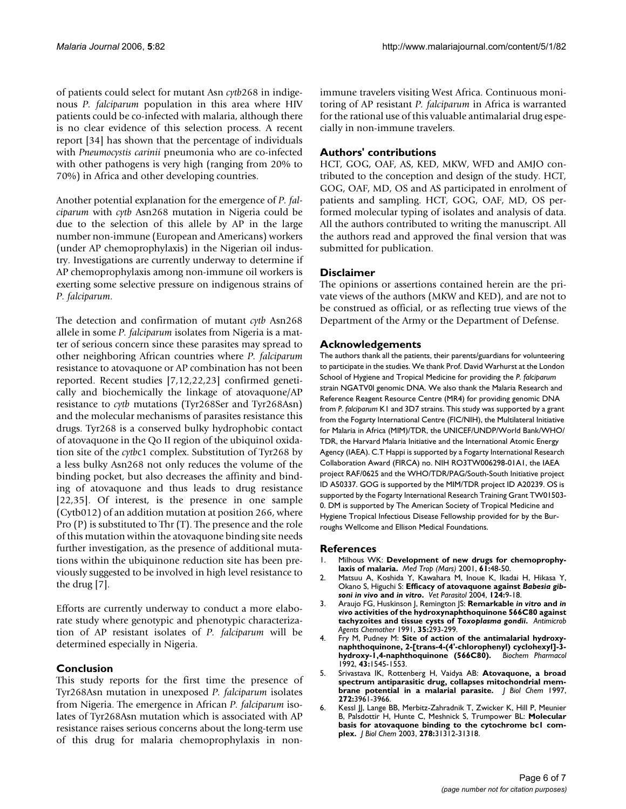of patients could select for mutant Asn *cytb*268 in indigenous *P. falciparum* population in this area where HIV patients could be co-infected with malaria, although there is no clear evidence of this selection process. A recent report [34] has shown that the percentage of individuals with *Pneumocystis carinii* pneumonia who are co-infected with other pathogens is very high (ranging from 20% to 70%) in Africa and other developing countries.

Another potential explanation for the emergence of *P. falciparum* with *cytb* Asn268 mutation in Nigeria could be due to the selection of this allele by AP in the large number non-immune (European and Americans) workers (under AP chemoprophylaxis) in the Nigerian oil industry. Investigations are currently underway to determine if AP chemoprophylaxis among non-immune oil workers is exerting some selective pressure on indigenous strains of *P. falciparum*.

The detection and confirmation of mutant *cytb* Asn268 allele in some *P. falciparum* isolates from Nigeria is a matter of serious concern since these parasites may spread to other neighboring African countries where *P. falciparum* resistance to atovaquone or AP combination has not been reported. Recent studies [7,12,22,23] confirmed genetically and biochemically the linkage of atovaquone/AP resistance to *cytb* mutations (Tyr268Ser and Tyr268Asn) and the molecular mechanisms of parasites resistance this drugs. Tyr268 is a conserved bulky hydrophobic contact of atovaquone in the Qo II region of the ubiquinol oxidation site of the *cytb*c1 complex. Substitution of Tyr268 by a less bulky Asn268 not only reduces the volume of the binding pocket, but also decreases the affinity and binding of atovaquone and thus leads to drug resistance [22,35]. Of interest, is the presence in one sample (Cytb012) of an addition mutation at position 266, where Pro (P) is substituted to Thr (T). The presence and the role of this mutation within the atovaquone binding site needs further investigation, as the presence of additional mutations within the ubiquinone reduction site has been previously suggested to be involved in high level resistance to the drug [7].

Efforts are currently underway to conduct a more elaborate study where genotypic and phenotypic characterization of AP resistant isolates of *P. falciparum* will be determined especially in Nigeria.

#### **Conclusion**

This study reports for the first time the presence of Tyr268Asn mutation in unexposed *P. falciparum* isolates from Nigeria. The emergence in African *P. falciparum* isolates of Tyr268Asn mutation which is associated with AP resistance raises serious concerns about the long-term use of this drug for malaria chemoprophylaxis in nonimmune travelers visiting West Africa. Continuous monitoring of AP resistant *P. falciparum* in Africa is warranted for the rational use of this valuable antimalarial drug especially in non-immune travelers.

#### **Authors' contributions**

HCT, GOG, OAF, AS, KED, MKW, WFD and AMJO contributed to the conception and design of the study. HCT, GOG, OAF, MD, OS and AS participated in enrolment of patients and sampling. HCT, GOG, OAF, MD, OS performed molecular typing of isolates and analysis of data. All the authors contributed to writing the manuscript. All the authors read and approved the final version that was submitted for publication.

#### **Disclaimer**

The opinions or assertions contained herein are the private views of the authors (MKW and KED), and are not to be construed as official, or as reflecting true views of the Department of the Army or the Department of Defense.

#### **Acknowledgements**

The authors thank all the patients, their parents/guardians for volunteering to participate in the studies. We thank Prof. David Warhurst at the London School of Hygiene and Tropical Medicine for providing the *P. falciparum*  strain NGATV0l genomic DNA. We also thank the Malaria Research and Reference Reagent Resource Centre (MR4) for providing genomic DNA from *P. falciparum* K1 and 3D7 strains. This study was supported by a grant from the Fogarty International Centre (FIC/NIH), the Multilateral Initiative for Malaria in Africa (MIM)/TDR, the UNICEF/UNDP/World Bank/WHO/ TDR, the Harvard Malaria Initiative and the International Atomic Energy Agency (IAEA). C.T Happi is supported by a Fogarty International Research Collaboration Award (FIRCA) no. NIH RO3TW006298-01A1, the IAEA project RAF/0625 and the WHO/TDR/PAG/South-South Initiative project ID A50337. GOG is supported by the MIM/TDR project ID A20239. OS is supported by the Fogarty International Research Training Grant TW01503- 0. DM is supported by The American Society of Tropical Medicine and Hygiene Tropical Infectious Disease Fellowship provided for by the Burroughs Wellcome and Ellison Medical Foundations.

#### **References**

- 1. Milhous WK: **[Development of new drugs for chemoprophy](http://www.ncbi.nlm.nih.gov/entrez/query.fcgi?cmd=Retrieve&db=PubMed&dopt=Abstract&list_uids=11584654)[laxis of malaria.](http://www.ncbi.nlm.nih.gov/entrez/query.fcgi?cmd=Retrieve&db=PubMed&dopt=Abstract&list_uids=11584654)** *Med Trop (Mars)* 2001, **61:**48-50.
- 2. Matsuu A, Koshida Y, Kawahara M, Inoue K, Ikadai H, Hikasa Y, Okano S, Higuchi S: **Efficacy of atovaquone against** *Babesia gibsoni in vivo* **and** *in vitro***[.](http://www.ncbi.nlm.nih.gov/entrez/query.fcgi?cmd=Retrieve&db=PubMed&dopt=Abstract&list_uids=15350657)** *Vet Parasitol* 2004, **124:**9-18.
- 3. Araujo FG, Huskinson J, Remington JS: **Remarkable** *in vitro* **and** *in vivo* **activities of the hydroxynaphthoquinone 566C80 against tachyzoites and tissue cysts of** *Toxoplasma gondii***[.](http://www.ncbi.nlm.nih.gov/entrez/query.fcgi?cmd=Retrieve&db=PubMed&dopt=Abstract&list_uids=2024964)** *Antimicrob Agents Chemother* 1991, **35:**293-299.
- 4. Fry M, Pudney M: **[Site of action of the antimalarial hydroxy](http://www.ncbi.nlm.nih.gov/entrez/query.fcgi?cmd=Retrieve&db=PubMed&dopt=Abstract&list_uids=1314606)[naphthoquinone, 2-\[trans-4-\(4'-chlorophenyl\) cyclohexyl\]-3](http://www.ncbi.nlm.nih.gov/entrez/query.fcgi?cmd=Retrieve&db=PubMed&dopt=Abstract&list_uids=1314606) [hydroxy-1,4-naphthoquinone \(566C80\).](http://www.ncbi.nlm.nih.gov/entrez/query.fcgi?cmd=Retrieve&db=PubMed&dopt=Abstract&list_uids=1314606)** *Biochem Pharmacol* 1992, **43:**1545-1553.
- 5. Srivastava IK, Rottenberg H, Vaidya AB: **[Atovaquone, a broad](http://www.ncbi.nlm.nih.gov/entrez/query.fcgi?cmd=Retrieve&db=PubMed&dopt=Abstract&list_uids=9020100) [spectrum antiparasitic drug, collapses mitochondrial mem](http://www.ncbi.nlm.nih.gov/entrez/query.fcgi?cmd=Retrieve&db=PubMed&dopt=Abstract&list_uids=9020100)[brane potential in a malarial parasite.](http://www.ncbi.nlm.nih.gov/entrez/query.fcgi?cmd=Retrieve&db=PubMed&dopt=Abstract&list_uids=9020100)** *J Biol Chem* 1997, **272:**3961-3966.
- 6. Kessl JJ, Lange BB, Merbitz-Zahradnik T, Zwicker K, Hill P, Meunier B, Palsdottir H, Hunte C, Meshnick S, Trumpower BL: **[Molecular](http://www.ncbi.nlm.nih.gov/entrez/query.fcgi?cmd=Retrieve&db=PubMed&dopt=Abstract&list_uids=12791689) [basis for atovaquone binding to the cytochrome bc1 com](http://www.ncbi.nlm.nih.gov/entrez/query.fcgi?cmd=Retrieve&db=PubMed&dopt=Abstract&list_uids=12791689)[plex.](http://www.ncbi.nlm.nih.gov/entrez/query.fcgi?cmd=Retrieve&db=PubMed&dopt=Abstract&list_uids=12791689)** *J Biol Chem* 2003, **278:**31312-31318.